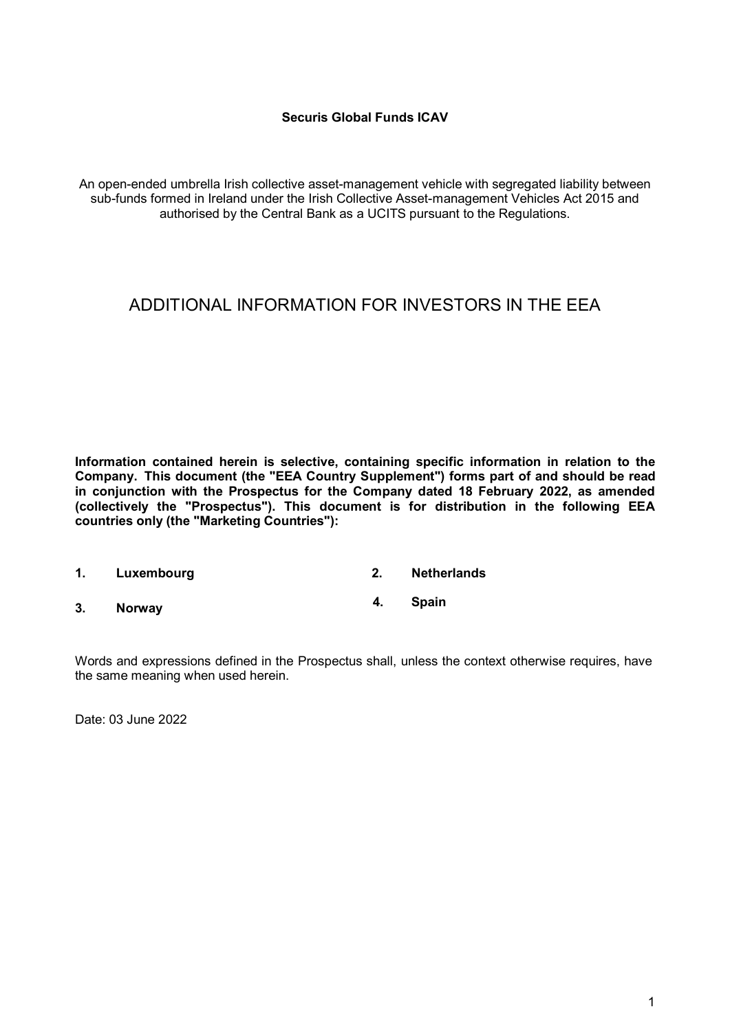#### **Securis Global Funds ICAV**

An open-ended umbrella Irish collective asset-management vehicle with segregated liability between sub-funds formed in Ireland under the Irish Collective Asset-management Vehicles Act 2015 and authorised by the Central Bank as a UCITS pursuant to the Regulations.

# ADDITIONAL INFORMATION FOR INVESTORS IN THE EEA

**Information contained herein is selective, containing specific information in relation to the Company. This document (the "EEA Country Supplement") forms part of and should be read in conjunction with the Prospectus for the Company dated 18 February 2022, as amended (collectively the "Prospectus"). This document is for distribution in the following EEA countries only (the "Marketing Countries"):**

**1. Luxembourg 2. Netherlands 3. Norway 4. Spain**

Words and expressions defined in the Prospectus shall, unless the context otherwise requires, have the same meaning when used herein.

Date: 03 June 2022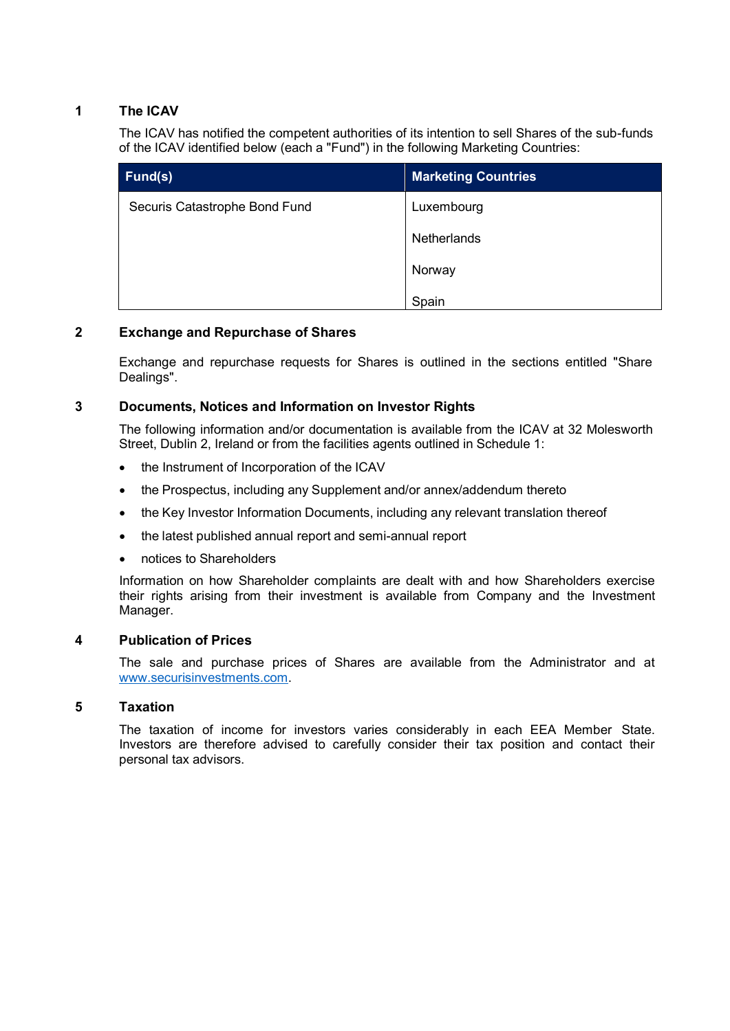#### **1 The ICAV**

The ICAV has notified the competent authorities of its intention to sell Shares of the sub-funds of the ICAV identified below (each a "Fund") in the following Marketing Countries:

| Fund(s)                       | <b>Marketing Countries</b> |
|-------------------------------|----------------------------|
| Securis Catastrophe Bond Fund | Luxembourg                 |
|                               | Netherlands                |
|                               | Norway                     |
|                               | Spain                      |

## **2 Exchange and Repurchase of Shares**

Exchange and repurchase requests for Shares is outlined in the sections entitled "Share Dealings".

#### **3 Documents, Notices and Information on Investor Rights**

The following information and/or documentation is available from the ICAV at 32 Molesworth Street, Dublin 2, Ireland or from the facilities agents outlined in Schedule 1:

- the Instrument of Incorporation of the ICAV
- the Prospectus, including any Supplement and/or annex/addendum thereto
- the Key Investor Information Documents, including any relevant translation thereof
- the latest published annual report and semi-annual report
- notices to Shareholders

Information on how Shareholder complaints are dealt with and how Shareholders exercise their rights arising from their investment is available from Company and the Investment Manager.

#### **4 Publication of Prices**

The sale and purchase prices of Shares are available from the Administrator and at [www.securisinvestments.com.](http://www.securisinvestments.com/)

## **5 Taxation**

The taxation of income for investors varies considerably in each EEA Member State. Investors are therefore advised to carefully consider their tax position and contact their personal tax advisors.